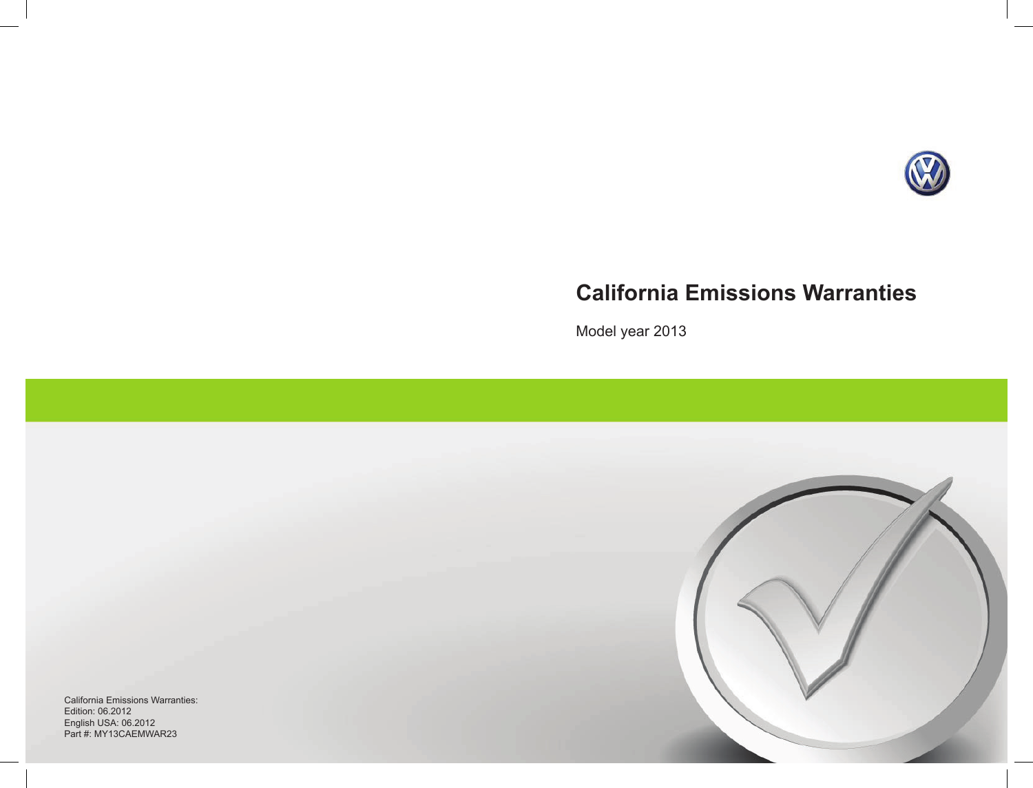

# **California Emissions Warranties**

Model year 2013

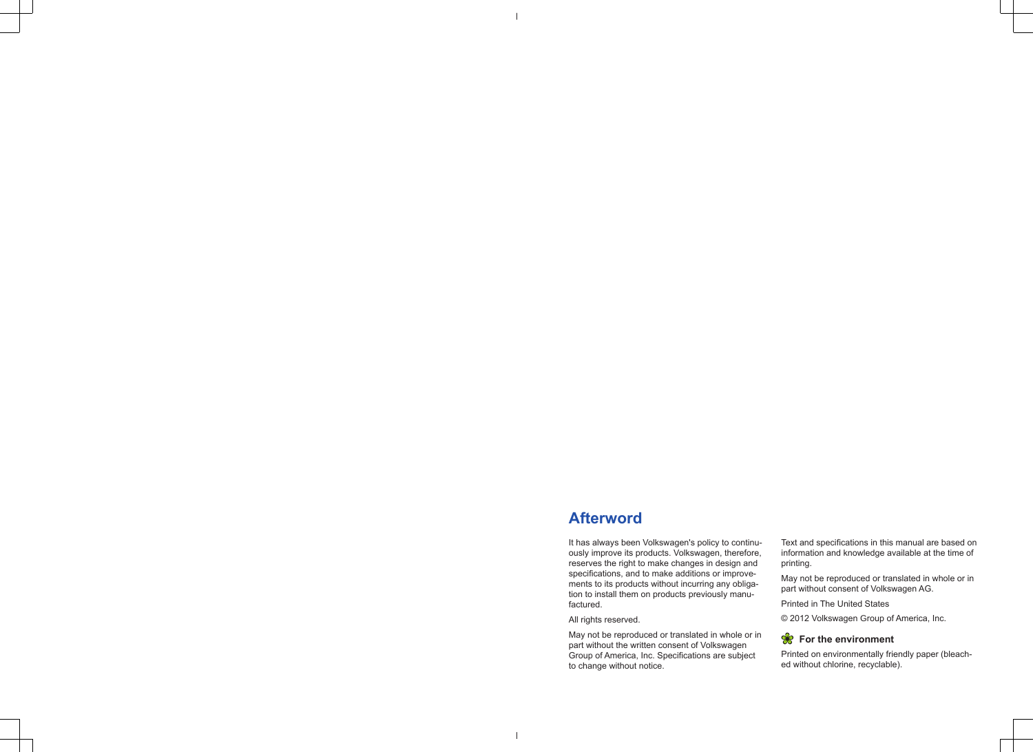## **Afterword**

It has always been Volkswagen's policy to continuously improve its products. Volkswagen, therefore, reserves the right to make changes in design and specifications, and to make additions or improvements to its products without incurring any obligation to install them on products previously manufactured.

## All rights reserved.

May not be reproduced or translated in whole or in part without the written consent of Volkswagen Group of America, Inc. Specifications are subject to change without notice.

Text and specifications in this manual are based on information and knowledge available at the time of printing.

May not be reproduced or translated in whole or in part without consent of Volkswagen AG.

Printed in The United States

© 2012 Volkswagen Group of America, Inc.

## **R** For the environment

Printed on environmentally friendly paper (bleached without chlorine, recyclable).

 $\perp$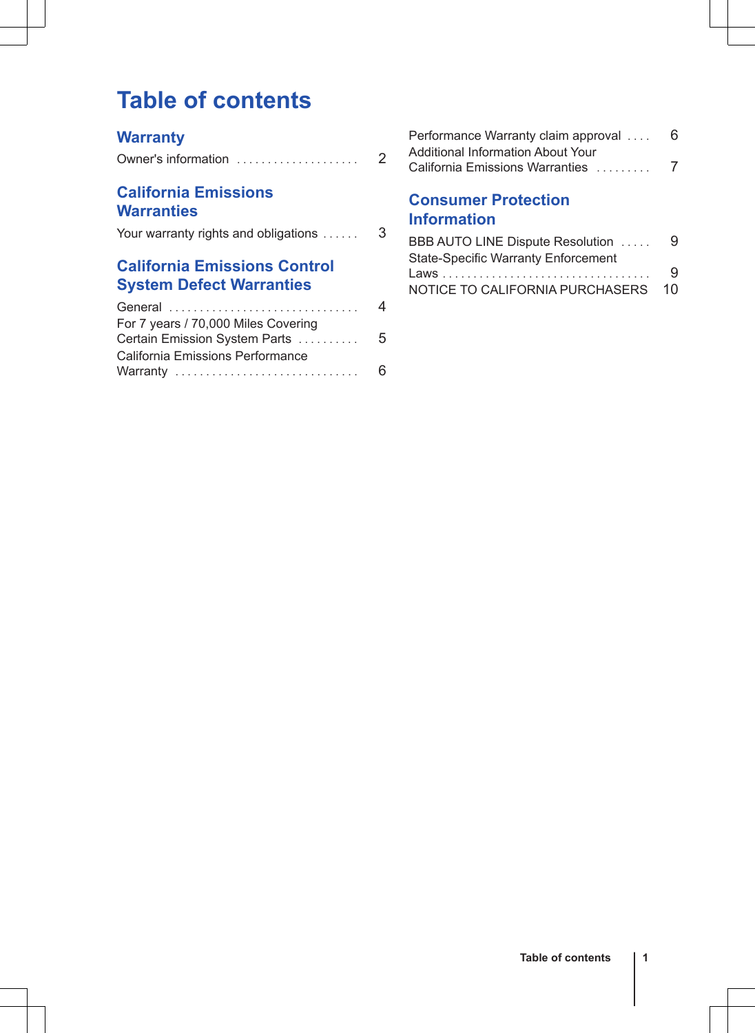# **Table of contents**

## **[Warranty](#page-3-0)**

| Owner's information |  |
|---------------------|--|

## **[California Emissions](#page-4-0) [Warranties](#page-4-0)**

|  | Your warranty rights and obligations |  |  |  |  |
|--|--------------------------------------|--|--|--|--|
|--|--------------------------------------|--|--|--|--|

## **[California Emissions Control](#page-5-0) [System Defect Warranties](#page-5-0)**

| General                             | 4 |
|-------------------------------------|---|
| For 7 years / 70,000 Miles Covering |   |
| Certain Emission System Parts       | 5 |
| California Emissions Performance    |   |
| Warranty                            | 6 |
|                                     |   |

| Performance Warranty claim approval | 6 |
|-------------------------------------|---|
| Additional Information About Your   |   |
| California Emissions Warranties     |   |

## **[Consumer Protection](#page-10-0) [Information](#page-10-0)**

| BBB AUTO LINE Dispute Resolution           | 9  |
|--------------------------------------------|----|
| <b>State-Specific Warranty Enforcement</b> |    |
|                                            | q  |
| NOTICE TO CALIFORNIA PURCHASERS            | 10 |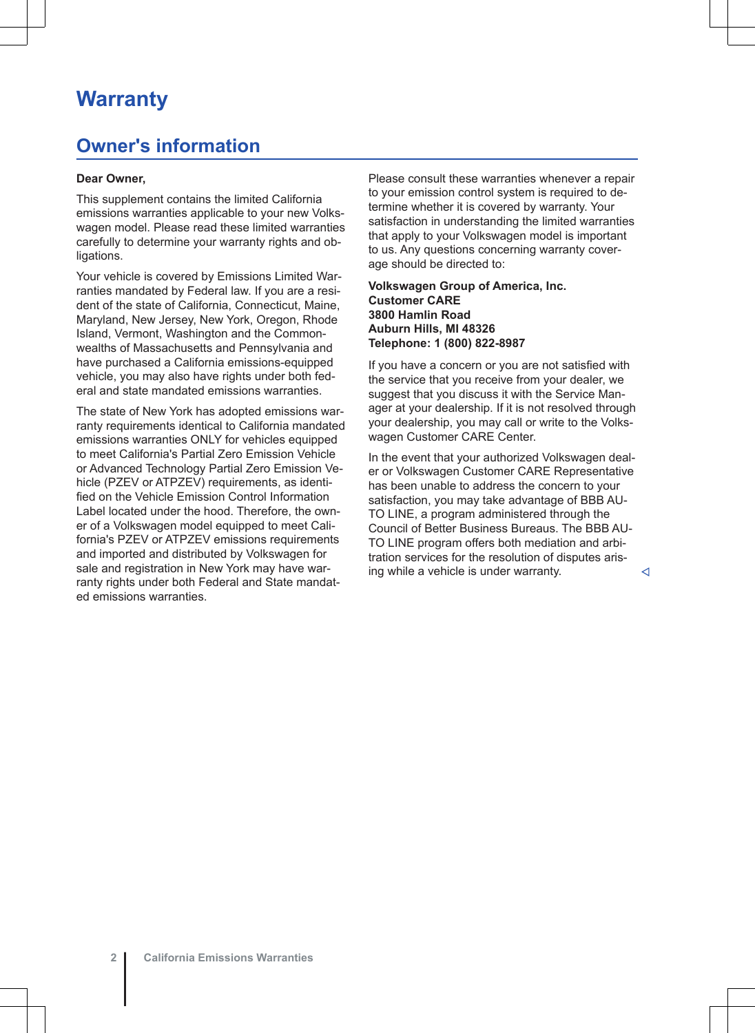## <span id="page-3-0"></span>**Warranty**

## **Owner's information**

### **Dear Owner,**

This supplement contains the limited California emissions warranties applicable to your new Volkswagen model. Please read these limited warranties carefully to determine your warranty rights and obligations.

Your vehicle is covered by Emissions Limited Warranties mandated by Federal law. If you are a resident of the state of California, Connecticut, Maine, Maryland, New Jersey, New York, Oregon, Rhode Island, Vermont, Washington and the Commonwealths of Massachusetts and Pennsylvania and have purchased a California emissions-equipped vehicle, you may also have rights under both federal and state mandated emissions warranties.

The state of New York has adopted emissions warranty requirements identical to California mandated emissions warranties ONLY for vehicles equipped to meet California's Partial Zero Emission Vehicle or Advanced Technology Partial Zero Emission Vehicle (PZEV or ATPZEV) requirements, as identified on the Vehicle Emission Control Information Label located under the hood. Therefore, the owner of a Volkswagen model equipped to meet California's PZEV or ATPZEV emissions requirements and imported and distributed by Volkswagen for sale and registration in New York may have warranty rights under both Federal and State mandated emissions warranties.

Please consult these warranties whenever a repair to your emission control system is required to determine whether it is covered by warranty. Your satisfaction in understanding the limited warranties that apply to your Volkswagen model is important to us. Any questions concerning warranty coverage should be directed to:

### **Volkswagen Group of America, Inc. Customer CARE 3800 Hamlin Road Auburn Hills, MI 48326 Telephone: 1 (800) 822-8987**

If you have a concern or you are not satisfied with the service that you receive from your dealer, we suggest that you discuss it with the Service Manager at your dealership. If it is not resolved through your dealership, you may call or write to the Volkswagen Customer CARE Center.

In the event that your authorized Volkswagen dealer or Volkswagen Customer CARE Representative has been unable to address the concern to your satisfaction, you may take advantage of BBB AU-TO LINE, a program administered through the Council of Better Business Bureaus. The BBB AU-TO LINE program offers both mediation and arbitration services for the resolution of disputes arising while a vehicle is under warranty.  $\triangleleft$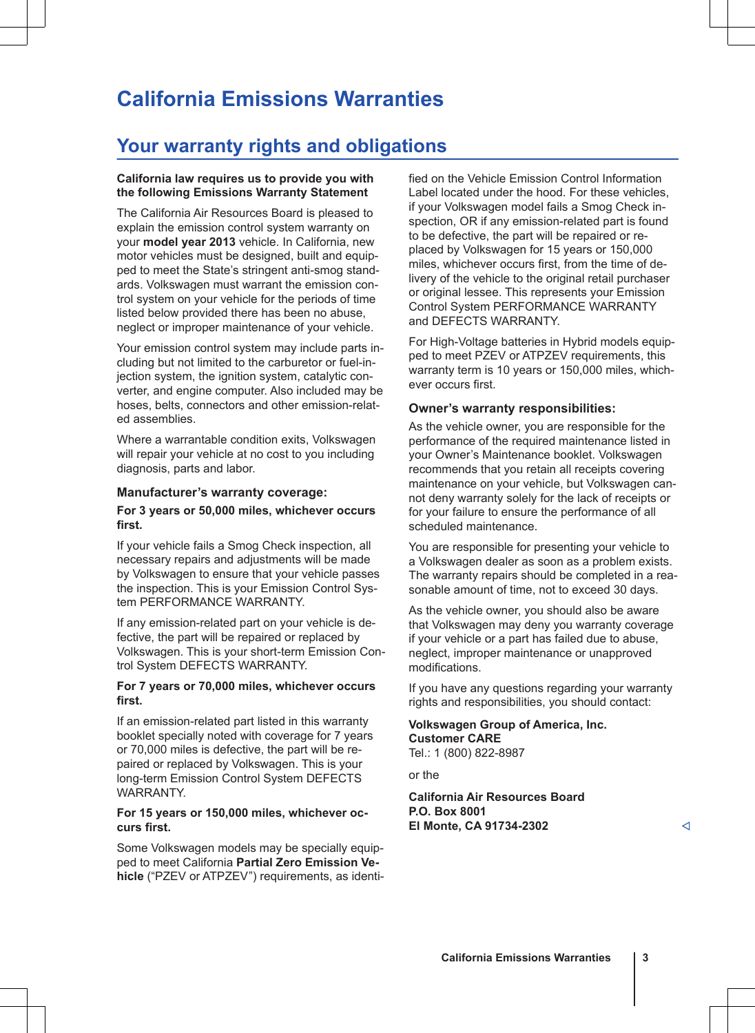# <span id="page-4-0"></span>**California Emissions Warranties**

## **Your warranty rights and obligations**

### **California law requires us to provide you with the following Emissions Warranty Statement**

The California Air Resources Board is pleased to explain the emission control system warranty on your **model year 2013** vehicle. In California, new motor vehicles must be designed, built and equipped to meet the State's stringent anti-smog standards. Volkswagen must warrant the emission control system on your vehicle for the periods of time listed below provided there has been no abuse, neglect or improper maintenance of your vehicle.

Your emission control system may include parts including but not limited to the carburetor or fuel-injection system, the ignition system, catalytic converter, and engine computer. Also included may be hoses, belts, connectors and other emission-related assemblies.

Where a warrantable condition exits, Volkswagen will repair your vehicle at no cost to you including diagnosis, parts and labor.

### **Manufacturer's warranty coverage:**

### **For 3 years or 50,000 miles, whichever occurs first.**

If your vehicle fails a Smog Check inspection, all necessary repairs and adjustments will be made by Volkswagen to ensure that your vehicle passes the inspection. This is your Emission Control System PERFORMANCE WARRANTY.

If any emission-related part on your vehicle is defective, the part will be repaired or replaced by Volkswagen. This is your short-term Emission Control System DEFECTS WARRANTY.

### **For 7 years or 70,000 miles, whichever occurs first.**

If an emission-related part listed in this warranty booklet specially noted with coverage for 7 years or 70,000 miles is defective, the part will be repaired or replaced by Volkswagen. This is your long-term Emission Control System DEFECTS WARRANTY.

### **For 15 years or 150,000 miles, whichever occurs first.**

Some Volkswagen models may be specially equipped to meet California **Partial Zero Emission Vehicle** ("PZEV or ATPZEV") requirements, as identified on the Vehicle Emission Control Information Label located under the hood. For these vehicles, if your Volkswagen model fails a Smog Check inspection, OR if any emission-related part is found to be defective, the part will be repaired or replaced by Volkswagen for 15 years or 150,000 miles, whichever occurs first, from the time of delivery of the vehicle to the original retail purchaser or original lessee. This represents your Emission Control System PERFORMANCE WARRANTY and DEFECTS WARRANTY.

For High-Voltage batteries in Hybrid models equipped to meet PZEV or ATPZEV requirements, this warranty term is 10 years or 150,000 miles, whichever occurs first.

### **Owner's warranty responsibilities:**

As the vehicle owner, you are responsible for the performance of the required maintenance listed in your Owner's Maintenance booklet. Volkswagen recommends that you retain all receipts covering maintenance on your vehicle, but Volkswagen cannot deny warranty solely for the lack of receipts or for your failure to ensure the performance of all scheduled maintenance.

You are responsible for presenting your vehicle to a Volkswagen dealer as soon as a problem exists. The warranty repairs should be completed in a reasonable amount of time, not to exceed 30 days.

As the vehicle owner, you should also be aware that Volkswagen may deny you warranty coverage if your vehicle or a part has failed due to abuse, neglect, improper maintenance or unapproved modifications.

If you have any questions regarding your warranty rights and responsibilities, you should contact:

**Volkswagen Group of America, Inc. Customer CARE** Tel.: 1 (800) 822-8987

or the

**California Air Resources Board P.O. Box 8001 El Monte, CA 91734-2302**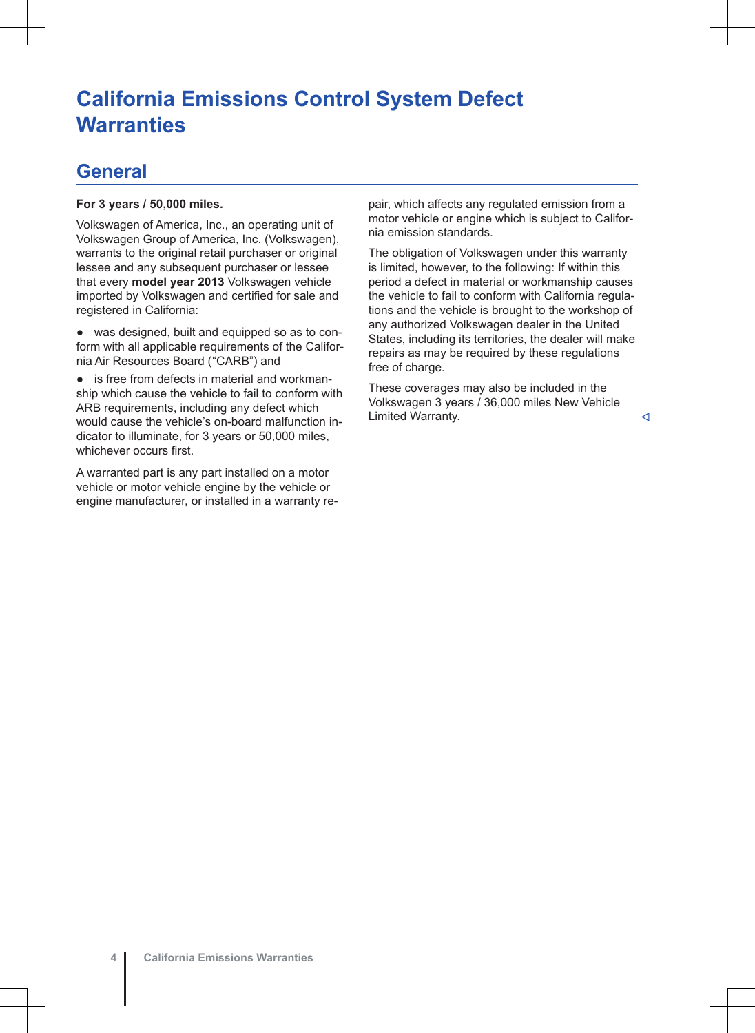# <span id="page-5-0"></span>**California Emissions Control System Defect Warranties**

## **General**

## **For 3 years / 50,000 miles.**

Volkswagen of America, Inc., an operating unit of Volkswagen Group of America, Inc. (Volkswagen), warrants to the original retail purchaser or original lessee and any subsequent purchaser or lessee that every **model year 2013** Volkswagen vehicle imported by Volkswagen and certified for sale and registered in California:

● was designed, built and equipped so as to conform with all applicable requirements of the California Air Resources Board ("CARB") and

● is free from defects in material and workmanship which cause the vehicle to fail to conform with ARB requirements, including any defect which would cause the vehicle's on-board malfunction indicator to illuminate, for 3 years or 50,000 miles, whichever occurs first.

A warranted part is any part installed on a motor vehicle or motor vehicle engine by the vehicle or engine manufacturer, or installed in a warranty repair, which affects any regulated emission from a motor vehicle or engine which is subject to California emission standards.

The obligation of Volkswagen under this warranty is limited, however, to the following: If within this period a defect in material or workmanship causes the vehicle to fail to conform with California regulations and the vehicle is brought to the workshop of any authorized Volkswagen dealer in the United States, including its territories, the dealer will make repairs as may be required by these regulations free of charge.

These coverages may also be included in the Volkswagen 3 years / 36,000 miles New Vehicle Limited Warranty.  $\triangleleft$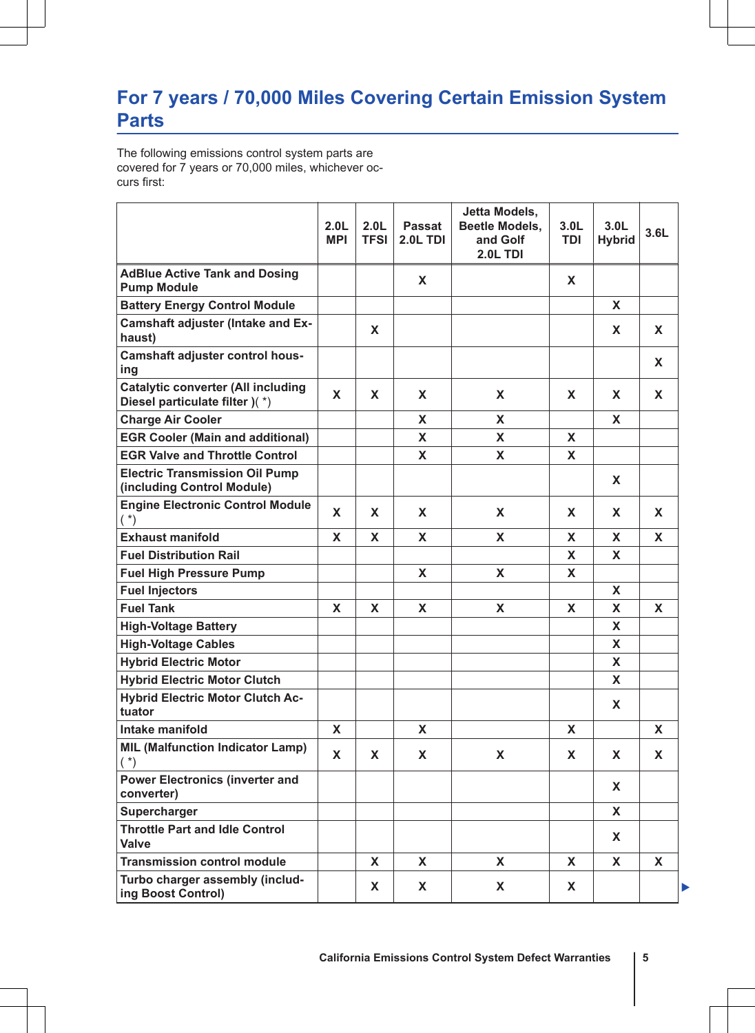## <span id="page-6-0"></span>**For 7 years / 70,000 Miles Covering Certain Emission System Parts**

The following emissions control system parts are covered for 7 years or 70,000 miles, whichever occurs first:

|                                                                             | 2.0 <sub>L</sub><br><b>MPI</b> | 2.0 <sub>L</sub><br><b>TFSI</b> | Passat<br>2.0L TDI | Jetta Models,<br>Beetle Models,<br>and Golf<br><b>2.0L TDI</b> | 3.0 <sub>L</sub><br>TDI | 3.0 <sub>L</sub><br><b>Hybrid</b> | 3.6L |
|-----------------------------------------------------------------------------|--------------------------------|---------------------------------|--------------------|----------------------------------------------------------------|-------------------------|-----------------------------------|------|
| <b>AdBlue Active Tank and Dosing</b><br><b>Pump Module</b>                  |                                |                                 | X                  |                                                                | x                       |                                   |      |
| <b>Battery Energy Control Module</b>                                        |                                |                                 |                    |                                                                |                         | X                                 |      |
| Camshaft adjuster (Intake and Ex-<br>haust)                                 |                                | X                               |                    |                                                                |                         | X                                 | x    |
| Camshaft adjuster control hous-<br>ing                                      |                                |                                 |                    |                                                                |                         |                                   | x    |
| <b>Catalytic converter (All including</b><br>Diesel particulate filter )(*) | x                              | x                               | X                  | X                                                              | x                       | x                                 | x    |
| <b>Charge Air Cooler</b>                                                    |                                |                                 | X                  | X                                                              |                         | x                                 |      |
| <b>EGR Cooler (Main and additional)</b>                                     |                                |                                 | X                  | X                                                              | X                       |                                   |      |
| <b>EGR Valve and Throttle Control</b>                                       |                                |                                 | X                  | X                                                              | X                       |                                   |      |
| <b>Electric Transmission Oil Pump</b><br>(including Control Module)         |                                |                                 |                    |                                                                |                         | x                                 |      |
| <b>Engine Electronic Control Module</b><br>$(*)$                            | X                              | x                               | X                  | X                                                              | x                       | x                                 | x    |
| <b>Exhaust manifold</b>                                                     | X                              | X                               | X                  | X                                                              | X                       | X                                 | X    |
| <b>Fuel Distribution Rail</b>                                               |                                |                                 |                    |                                                                | X                       | X                                 |      |
| <b>Fuel High Pressure Pump</b>                                              |                                |                                 | X                  | X                                                              | X                       |                                   |      |
| <b>Fuel Injectors</b>                                                       |                                |                                 |                    |                                                                |                         | x                                 |      |
| <b>Fuel Tank</b>                                                            | x                              | X                               | X                  | X                                                              | X                       | X                                 | x    |
| <b>High-Voltage Battery</b>                                                 |                                |                                 |                    |                                                                |                         | x                                 |      |
| <b>High-Voltage Cables</b>                                                  |                                |                                 |                    |                                                                |                         | x                                 |      |
| <b>Hybrid Electric Motor</b>                                                |                                |                                 |                    |                                                                |                         | X                                 |      |
| <b>Hybrid Electric Motor Clutch</b>                                         |                                |                                 |                    |                                                                |                         | x                                 |      |
| <b>Hybrid Electric Motor Clutch Ac-</b><br>tuator                           |                                |                                 |                    |                                                                |                         | X                                 |      |
| Intake manifold                                                             | X                              |                                 | X                  |                                                                | X                       |                                   | x    |
| <b>MIL (Malfunction Indicator Lamp)</b><br>$(*)$                            | X                              | X                               | X                  | X                                                              | X                       | X                                 | x    |
| <b>Power Electronics (inverter and</b><br>converter)                        |                                |                                 |                    |                                                                |                         | <b>x</b>                          |      |
| Supercharger                                                                |                                |                                 |                    |                                                                |                         | X                                 |      |
| <b>Throttle Part and Idle Control</b><br>Valve                              |                                |                                 |                    |                                                                |                         | X                                 |      |
| <b>Transmission control module</b>                                          |                                | x                               | x                  | x                                                              | x                       | x                                 | x    |
| Turbo charger assembly (includ-<br>ing Boost Control)                       |                                | X                               | X                  | X                                                              | X                       |                                   | Þ    |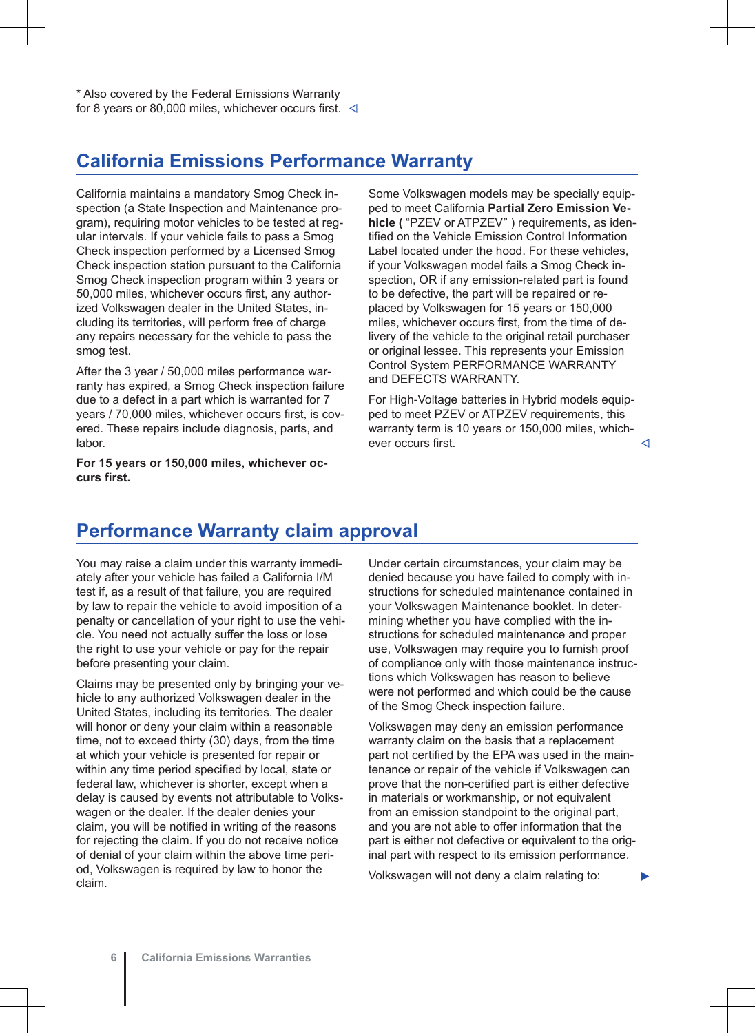<span id="page-7-0"></span>\* Also covered by the Federal Emissions Warranty for 8 years or 80,000 miles, whichever occurs first.  $\triangleleft$ 

## **California Emissions Performance Warranty**

California maintains a mandatory Smog Check inspection (a State Inspection and Maintenance program), requiring motor vehicles to be tested at regular intervals. If your vehicle fails to pass a Smog Check inspection performed by a Licensed Smog Check inspection station pursuant to the California Smog Check inspection program within 3 years or 50,000 miles, whichever occurs first, any authorized Volkswagen dealer in the United States, including its territories, will perform free of charge any repairs necessary for the vehicle to pass the smog test.

After the 3 year / 50,000 miles performance warranty has expired, a Smog Check inspection failure due to a defect in a part which is warranted for 7 years / 70,000 miles, whichever occurs first, is covered. These repairs include diagnosis, parts, and labor.

**For 15 years or 150,000 miles, whichever occurs first.**

Some Volkswagen models may be specially equipped to meet California **Partial Zero Emission Vehicle (** "PZEV or ATPZEV" ) requirements, as identified on the Vehicle Emission Control Information Label located under the hood. For these vehicles, if your Volkswagen model fails a Smog Check inspection, OR if any emission-related part is found to be defective, the part will be repaired or replaced by Volkswagen for 15 years or 150,000 miles, whichever occurs first, from the time of delivery of the vehicle to the original retail purchaser or original lessee. This represents your Emission Control System PERFORMANCE WARRANTY and DEFECTS WARRANTY.

For High-Voltage batteries in Hybrid models equipped to meet PZEV or ATPZEV requirements, this warranty term is 10 years or 150,000 miles, whichever occurs first.  $\triangleleft$ 

## **Performance Warranty claim approval**

You may raise a claim under this warranty immediately after your vehicle has failed a California I/M test if, as a result of that failure, you are required by law to repair the vehicle to avoid imposition of a penalty or cancellation of your right to use the vehicle. You need not actually suffer the loss or lose the right to use your vehicle or pay for the repair before presenting your claim.

Claims may be presented only by bringing your vehicle to any authorized Volkswagen dealer in the United States, including its territories. The dealer will honor or deny your claim within a reasonable time, not to exceed thirty (30) days, from the time at which your vehicle is presented for repair or within any time period specified by local, state or federal law, whichever is shorter, except when a delay is caused by events not attributable to Volkswagen or the dealer. If the dealer denies your claim, you will be notified in writing of the reasons for rejecting the claim. If you do not receive notice of denial of your claim within the above time period, Volkswagen is required by law to honor the claim.

Under certain circumstances, your claim may be denied because you have failed to comply with instructions for scheduled maintenance contained in your Volkswagen Maintenance booklet. In determining whether you have complied with the instructions for scheduled maintenance and proper use, Volkswagen may require you to furnish proof of compliance only with those maintenance instructions which Volkswagen has reason to believe were not performed and which could be the cause of the Smog Check inspection failure.

Volkswagen may deny an emission performance warranty claim on the basis that a replacement part not certified by the EPA was used in the maintenance or repair of the vehicle if Volkswagen can prove that the non-certified part is either defective in materials or workmanship, or not equivalent from an emission standpoint to the original part, and you are not able to offer information that the part is either not defective or equivalent to the original part with respect to its emission performance.

Volkswagen will not deny a claim relating to: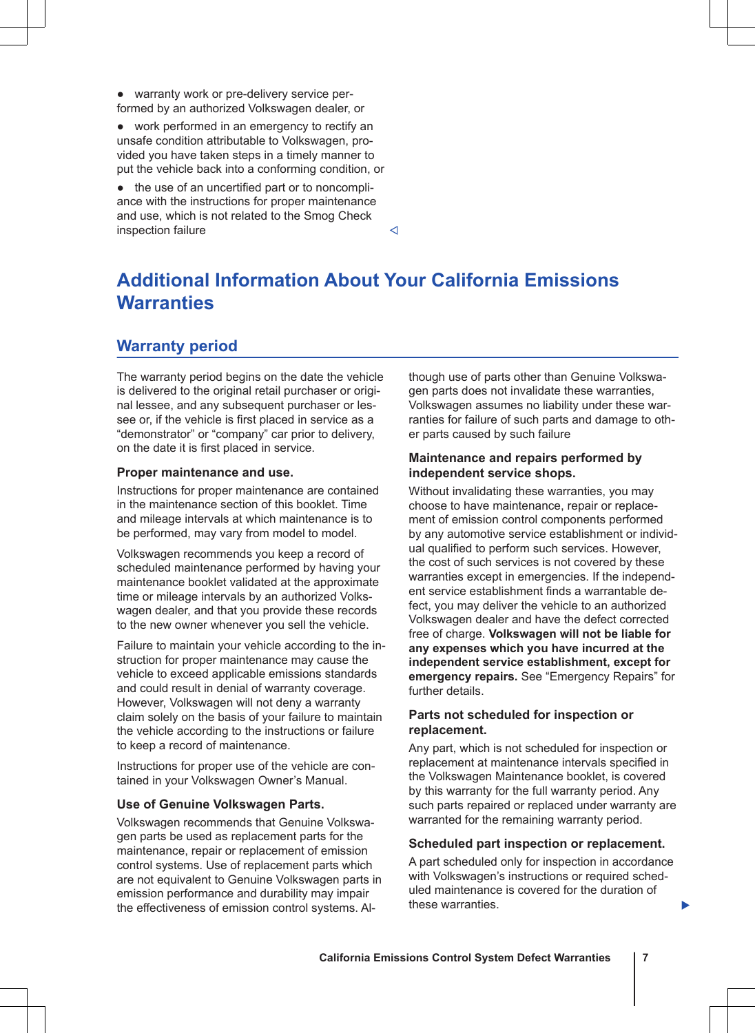<span id="page-8-0"></span>● warranty work or pre-delivery service performed by an authorized Volkswagen dealer, or

● work performed in an emergency to rectify an unsafe condition attributable to Volkswagen, provided you have taken steps in a timely manner to put the vehicle back into a conforming condition, or

● the use of an uncertified part or to noncompliance with the instructions for proper maintenance and use, which is not related to the Smog Check  $\blacksquare$ inspection failure

# **Additional Information About Your California Emissions Warranties**

## **Warranty period**

The warranty period begins on the date the vehicle is delivered to the original retail purchaser or original lessee, and any subsequent purchaser or lessee or, if the vehicle is first placed in service as a "demonstrator" or "company" car prior to delivery, on the date it is first placed in service.

## **Proper maintenance and use.**

Instructions for proper maintenance are contained in the maintenance section of this booklet. Time and mileage intervals at which maintenance is to be performed, may vary from model to model.

Volkswagen recommends you keep a record of scheduled maintenance performed by having your maintenance booklet validated at the approximate time or mileage intervals by an authorized Volkswagen dealer, and that you provide these records to the new owner whenever you sell the vehicle.

Failure to maintain your vehicle according to the instruction for proper maintenance may cause the vehicle to exceed applicable emissions standards and could result in denial of warranty coverage. However, Volkswagen will not deny a warranty claim solely on the basis of your failure to maintain the vehicle according to the instructions or failure to keep a record of maintenance.

Instructions for proper use of the vehicle are contained in your Volkswagen Owner's Manual.

## **Use of Genuine Volkswagen Parts.**

Volkswagen recommends that Genuine Volkswagen parts be used as replacement parts for the maintenance, repair or replacement of emission control systems. Use of replacement parts which are not equivalent to Genuine Volkswagen parts in emission performance and durability may impair the effectiveness of emission control systems. Although use of parts other than Genuine Volkswagen parts does not invalidate these warranties, Volkswagen assumes no liability under these warranties for failure of such parts and damage to other parts caused by such failure

## **Maintenance and repairs performed by independent service shops.**

Without invalidating these warranties, you may choose to have maintenance, repair or replacement of emission control components performed by any automotive service establishment or individual qualified to perform such services. However, the cost of such services is not covered by these warranties except in emergencies. If the independent service establishment finds a warrantable defect, you may deliver the vehicle to an authorized Volkswagen dealer and have the defect corrected free of charge. **Volkswagen will not be liable for any expenses which you have incurred at the independent service establishment, except for emergency repairs.** See "Emergency Repairs" for further details.

## **Parts not scheduled for inspection or replacement.**

Any part, which is not scheduled for inspection or replacement at maintenance intervals specified in the Volkswagen Maintenance booklet, is covered by this warranty for the full warranty period. Any such parts repaired or replaced under warranty are warranted for the remaining warranty period.

## **Scheduled part inspection or replacement.**

A part scheduled only for inspection in accordance with Volkswagen's instructions or required scheduled maintenance is covered for the duration of these warranties.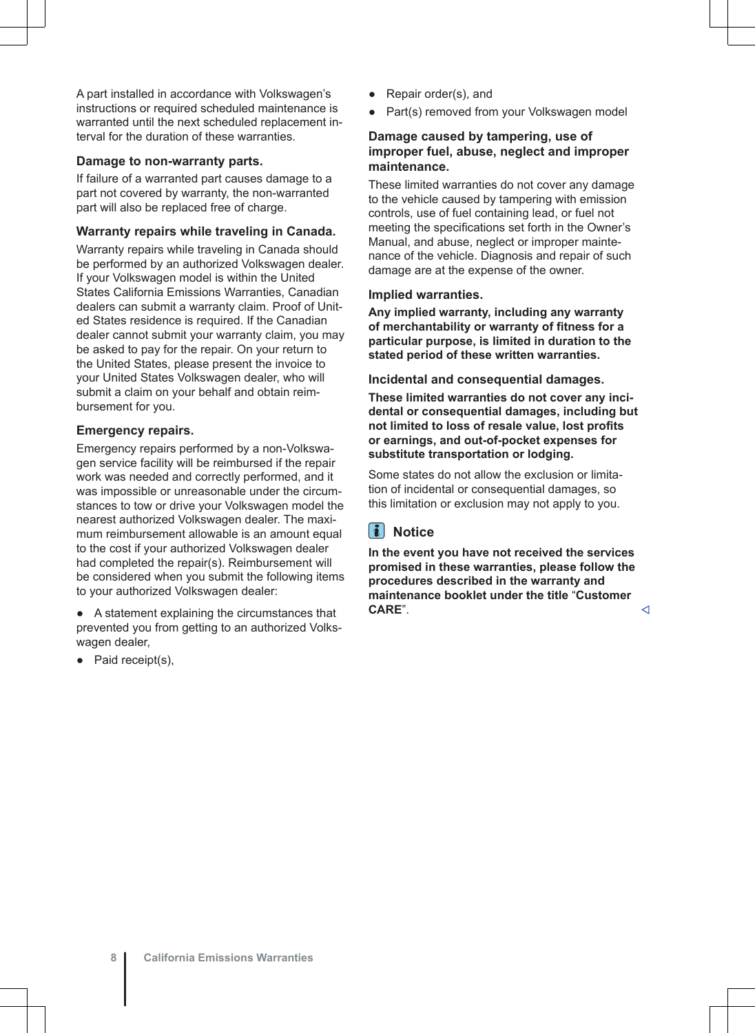A part installed in accordance with Volkswagen's instructions or required scheduled maintenance is warranted until the next scheduled replacement interval for the duration of these warranties.

### **Damage to non-warranty parts.**

If failure of a warranted part causes damage to a part not covered by warranty, the non-warranted part will also be replaced free of charge.

## **Warranty repairs while traveling in Canada.**

Warranty repairs while traveling in Canada should be performed by an authorized Volkswagen dealer. If your Volkswagen model is within the United States California Emissions Warranties, Canadian dealers can submit a warranty claim. Proof of United States residence is required. If the Canadian dealer cannot submit your warranty claim, you may be asked to pay for the repair. On your return to the United States, please present the invoice to your United States Volkswagen dealer, who will submit a claim on your behalf and obtain reimbursement for you.

### **Emergency repairs.**

Emergency repairs performed by a non-Volkswagen service facility will be reimbursed if the repair work was needed and correctly performed, and it was impossible or unreasonable under the circumstances to tow or drive your Volkswagen model the nearest authorized Volkswagen dealer. The maximum reimbursement allowable is an amount equal to the cost if your authorized Volkswagen dealer had completed the repair(s). Reimbursement will be considered when you submit the following items to your authorized Volkswagen dealer:

● A statement explaining the circumstances that prevented you from getting to an authorized Volkswagen dealer,

Paid receipt(s),

- Repair order(s), and
- Part(s) removed from your Volkswagen model

## **Damage caused by tampering, use of improper fuel, abuse, neglect and improper maintenance.**

These limited warranties do not cover any damage to the vehicle caused by tampering with emission controls, use of fuel containing lead, or fuel not meeting the specifications set forth in the Owner's Manual, and abuse, neglect or improper maintenance of the vehicle. Diagnosis and repair of such damage are at the expense of the owner.

### **Implied warranties.**

**Any implied warranty, including any warranty of merchantability or warranty of fitness for a particular purpose, is limited in duration to the stated period of these written warranties.**

### **Incidental and consequential damages.**

**These limited warranties do not cover any incidental or consequential damages, including but not limited to loss of resale value, lost profits or earnings, and out-of-pocket expenses for substitute transportation or lodging.**

Some states do not allow the exclusion or limitation of incidental or consequential damages, so this limitation or exclusion may not apply to you.

### $\vert$   $\vert$ **Notice**

**In the event you have not received the services promised in these warranties, please follow the procedures described in the warranty and maintenance booklet under the title** "**Customer CARE".**  $\triangleleft$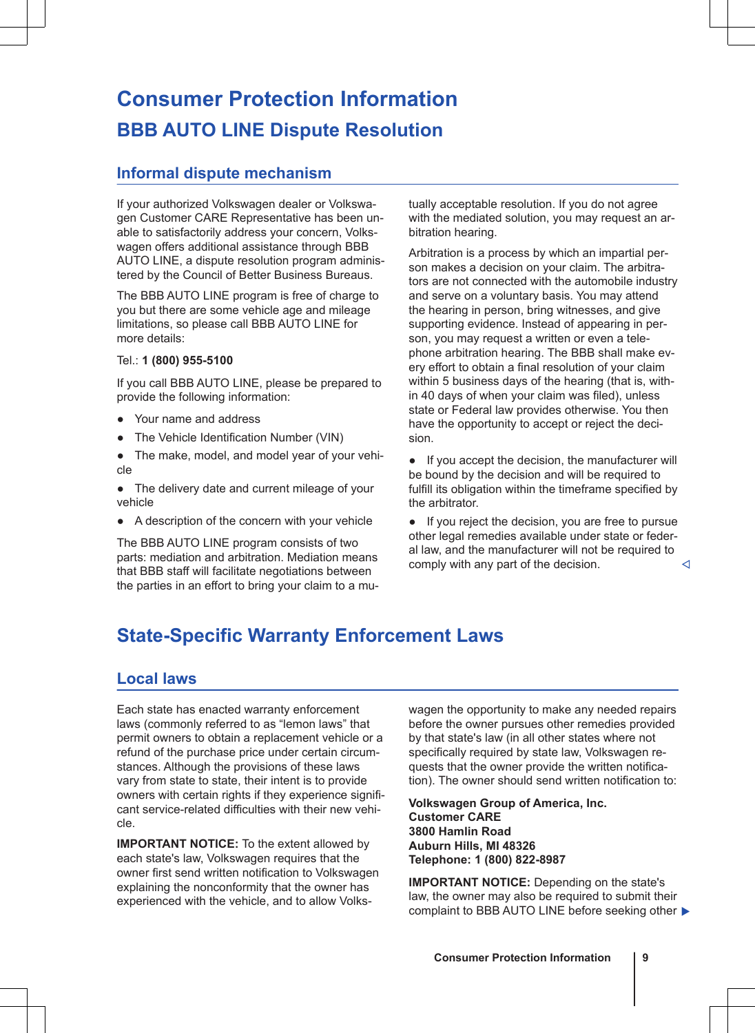# <span id="page-10-0"></span>**Consumer Protection Information BBB AUTO LINE Dispute Resolution**

## **Informal dispute mechanism**

If your authorized Volkswagen dealer or Volkswagen Customer CARE Representative has been unable to satisfactorily address your concern, Volkswagen offers additional assistance through BBB AUTO LINE, a dispute resolution program administered by the Council of Better Business Bureaus.

The BBB AUTO LINE program is free of charge to you but there are some vehicle age and mileage limitations, so please call BBB AUTO LINE for more details:

### Tel.: **1 (800) 955-5100**

If you call BBB AUTO LINE, please be prepared to provide the following information:

- Your name and address
- The Vehicle Identification Number (VIN)
- The make, model, and model year of your vehicle
- The delivery date and current mileage of your vehicle
- A description of the concern with your vehicle

The BBB AUTO LINE program consists of two parts: mediation and arbitration. Mediation means that BBB staff will facilitate negotiations between the parties in an effort to bring your claim to a mutually acceptable resolution. If you do not agree with the mediated solution, you may request an arbitration hearing.

Arbitration is a process by which an impartial person makes a decision on your claim. The arbitrators are not connected with the automobile industry and serve on a voluntary basis. You may attend the hearing in person, bring witnesses, and give supporting evidence. Instead of appearing in person, you may request a written or even a telephone arbitration hearing. The BBB shall make every effort to obtain a final resolution of your claim within 5 business days of the hearing (that is, within 40 days of when your claim was filed), unless state or Federal law provides otherwise. You then have the opportunity to accept or reject the decision.

● If you accept the decision, the manufacturer will be bound by the decision and will be required to fulfill its obligation within the timeframe specified by the arbitrator.

● If you reject the decision, you are free to pursue other legal remedies available under state or federal law, and the manufacturer will not be required to comply with any part of the decision.

## **State-Specific Warranty Enforcement Laws**

## **Local laws**

Each state has enacted warranty enforcement laws (commonly referred to as "lemon laws" that permit owners to obtain a replacement vehicle or a refund of the purchase price under certain circumstances. Although the provisions of these laws vary from state to state, their intent is to provide owners with certain rights if they experience significant service-related difficulties with their new vehicle.

**IMPORTANT NOTICE:** To the extent allowed by each state's law, Volkswagen requires that the owner first send written notification to Volkswagen explaining the nonconformity that the owner has experienced with the vehicle, and to allow Volkswagen the opportunity to make any needed repairs before the owner pursues other remedies provided by that state's law (in all other states where not specifically required by state law, Volkswagen requests that the owner provide the written notification). The owner should send written notification to:

**Volkswagen Group of America, Inc. Customer CARE 3800 Hamlin Road Auburn Hills, MI 48326 Telephone: 1 (800) 822-8987**

**IMPORTANT NOTICE:** Depending on the state's law, the owner may also be required to submit their complaint to BBB AUTO LINE before seeking other  $\blacktriangleright$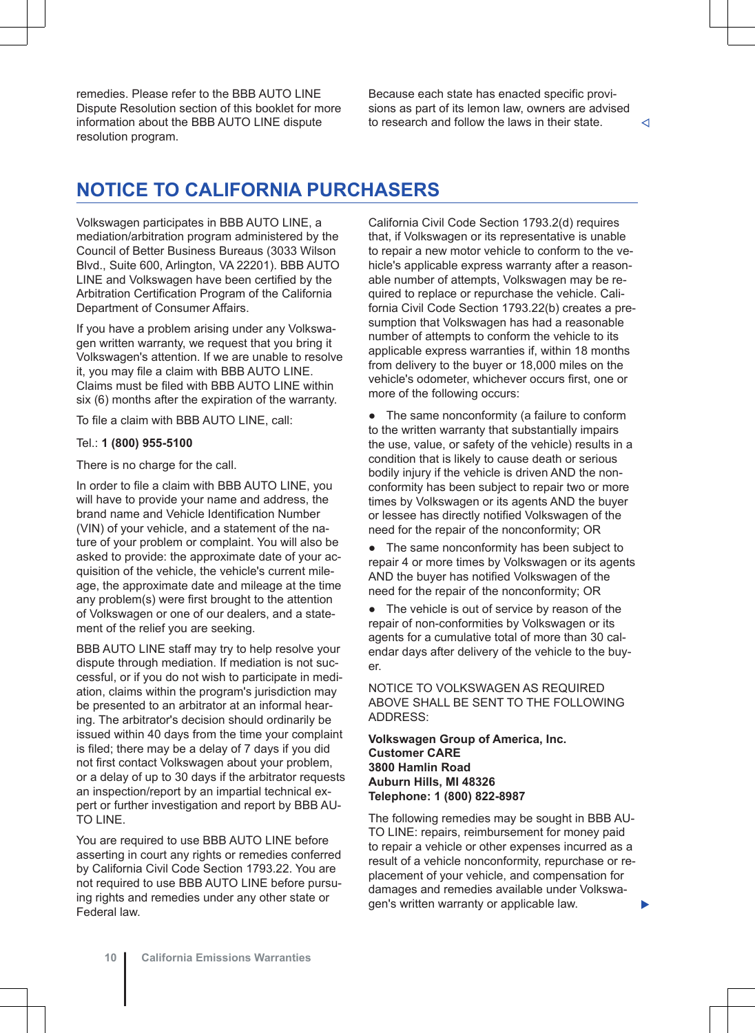<span id="page-11-0"></span>remedies. Please refer to the BBB AUTO LINE Dispute Resolution section of this booklet for more information about the BBB AUTO LINE dispute resolution program.

Because each state has enacted specific provisions as part of its lemon law, owners are advised to research and follow the laws in their state.  $\lnot$ 

## **NOTICE TO CALIFORNIA PURCHASERS**

Volkswagen participates in BBB AUTO LINE, a mediation/arbitration program administered by the Council of Better Business Bureaus (3033 Wilson Blvd., Suite 600, Arlington, VA 22201). BBB AUTO LINE and Volkswagen have been certified by the Arbitration Certification Program of the California Department of Consumer Affairs.

If you have a problem arising under any Volkswagen written warranty, we request that you bring it Volkswagen's attention. If we are unable to resolve it, you may file a claim with BBB AUTO LINE. Claims must be filed with BBB AUTO LINE within six (6) months after the expiration of the warranty.

To file a claim with BBB AUTO LINE, call:

## Tel.: **1 (800) 955-5100**

There is no charge for the call.

In order to file a claim with BBB AUTO LINE, you will have to provide your name and address, the brand name and Vehicle Identification Number (VIN) of your vehicle, and a statement of the nature of your problem or complaint. You will also be asked to provide: the approximate date of your acquisition of the vehicle, the vehicle's current mileage, the approximate date and mileage at the time any problem(s) were first brought to the attention of Volkswagen or one of our dealers, and a statement of the relief you are seeking.

BBB AUTO LINE staff may try to help resolve your dispute through mediation. If mediation is not successful, or if you do not wish to participate in mediation, claims within the program's jurisdiction may be presented to an arbitrator at an informal hearing. The arbitrator's decision should ordinarily be issued within 40 days from the time your complaint is filed; there may be a delay of 7 days if you did not first contact Volkswagen about your problem, or a delay of up to 30 days if the arbitrator requests an inspection/report by an impartial technical expert or further investigation and report by BBB AU-TO LINE.

You are required to use BBB AUTO LINE before asserting in court any rights or remedies conferred by California Civil Code Section 1793.22. You are not required to use BBB AUTO LINE before pursuing rights and remedies under any other state or Federal law.

California Civil Code Section 1793.2(d) requires that, if Volkswagen or its representative is unable to repair a new motor vehicle to conform to the vehicle's applicable express warranty after a reasonable number of attempts, Volkswagen may be required to replace or repurchase the vehicle. California Civil Code Section 1793.22(b) creates a presumption that Volkswagen has had a reasonable number of attempts to conform the vehicle to its applicable express warranties if, within 18 months from delivery to the buyer or 18,000 miles on the vehicle's odometer, whichever occurs first, one or more of the following occurs:

● The same nonconformity (a failure to conform to the written warranty that substantially impairs the use, value, or safety of the vehicle) results in a condition that is likely to cause death or serious bodily injury if the vehicle is driven AND the nonconformity has been subject to repair two or more times by Volkswagen or its agents AND the buyer or lessee has directly notified Volkswagen of the need for the repair of the nonconformity; OR

• The same nonconformity has been subject to repair 4 or more times by Volkswagen or its agents AND the buyer has notified Volkswagen of the need for the repair of the nonconformity; OR

● The vehicle is out of service by reason of the repair of non-conformities by Volkswagen or its agents for a cumulative total of more than 30 calendar days after delivery of the vehicle to the buyer.

NOTICE TO VOLKSWAGEN AS REQUIRED ABOVE SHALL BE SENT TO THE FOLLOWING ADDRESS:

**Volkswagen Group of America, Inc. Customer CARE 3800 Hamlin Road Auburn Hills, MI 48326 Telephone: 1 (800) 822-8987**

The following remedies may be sought in BBB AU-TO LINE: repairs, reimbursement for money paid to repair a vehicle or other expenses incurred as a result of a vehicle nonconformity, repurchase or replacement of your vehicle, and compensation for damages and remedies available under Volkswagen's written warranty or applicable law.